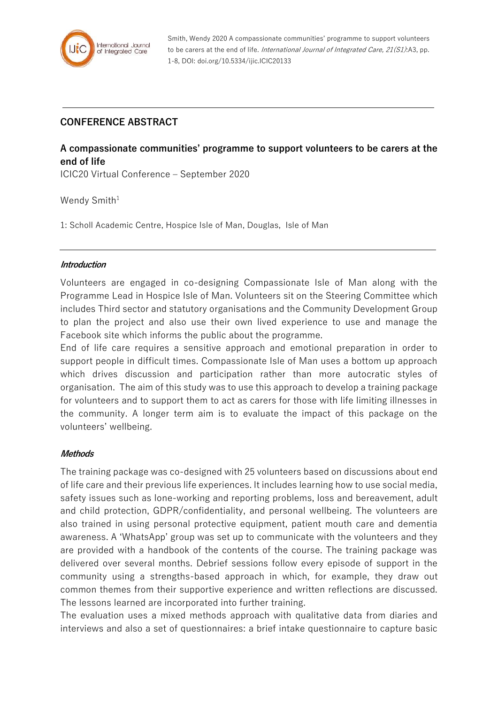

Smith, Wendy 2020 A compassionate communities' programme to support volunteers to be carers at the end of life. International Journal of Integrated Care, 21(S1):A3, pp. 1-8, DOI: doi.org/10.5334/ijic.ICIC20133

## **CONFERENCE ABSTRACT**

# **A compassionate communities' programme to support volunteers to be carers at the end of life**

ICIC20 Virtual Conference – September 2020

Wendy Smith $1$ 

1: Scholl Academic Centre, Hospice Isle of Man, Douglas, Isle of Man

#### **Introduction**

Volunteers are engaged in co-designing Compassionate Isle of Man along with the Programme Lead in Hospice Isle of Man. Volunteers sit on the Steering Committee which includes Third sector and statutory organisations and the Community Development Group to plan the project and also use their own lived experience to use and manage the Facebook site which informs the public about the programme.

End of life care requires a sensitive approach and emotional preparation in order to support people in difficult times. Compassionate Isle of Man uses a bottom up approach which drives discussion and participation rather than more autocratic styles of organisation. The aim of this study was to use this approach to develop a training package for volunteers and to support them to act as carers for those with life limiting illnesses in the community. A longer term aim is to evaluate the impact of this package on the volunteers' wellbeing.

#### **Methods**

The training package was co-designed with 25 volunteers based on discussions about end of life care and their previous life experiences. It includes learning how to use social media, safety issues such as lone-working and reporting problems, loss and bereavement, adult and child protection, GDPR/confidentiality, and personal wellbeing. The volunteers are also trained in using personal protective equipment, patient mouth care and dementia awareness. A 'WhatsApp' group was set up to communicate with the volunteers and they are provided with a handbook of the contents of the course. The training package was delivered over several months. Debrief sessions follow every episode of support in the community using a strengths-based approach in which, for example, they draw out common themes from their supportive experience and written reflections are discussed. The lessons learned are incorporated into further training.

The evaluation uses a mixed methods approach with qualitative data from diaries and interviews and also a set of questionnaires: a brief intake questionnaire to capture basic